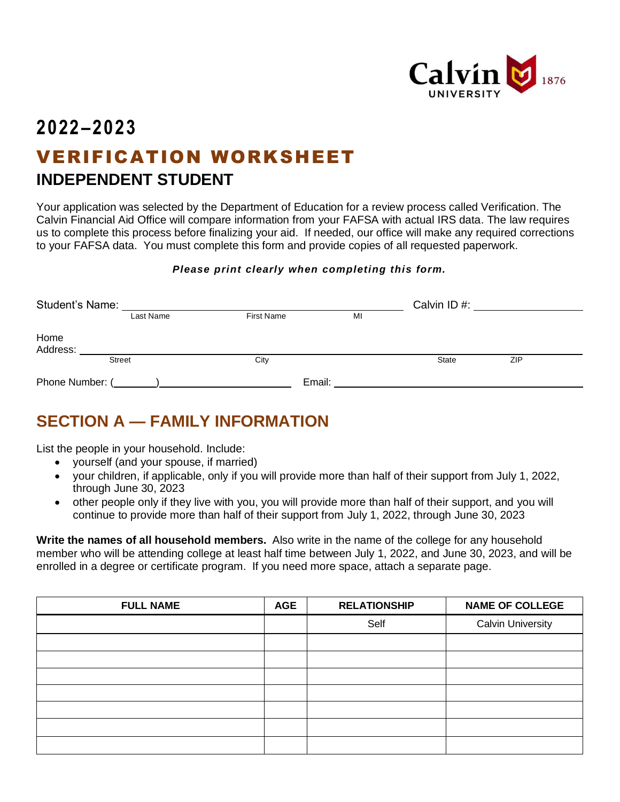

# **2022–2023** VERIFICATION WORKSHEET **INDEPENDENT STUDENT**

Your application was selected by the Department of Education for a review process called Verification. The Calvin Financial Aid Office will compare information from your FAFSA with actual IRS data. The law requires us to complete this process before finalizing your aid. If needed, our office will make any required corrections to your FAFSA data. You must complete this form and provide copies of all requested paperwork.

#### *Please print clearly when completing this form.*

| Student's Name:  |           |                   |        | Calvin ID#: |     |
|------------------|-----------|-------------------|--------|-------------|-----|
|                  | Last Name | <b>First Name</b> | MI     |             |     |
| Home<br>Address: |           |                   |        |             |     |
|                  | Street    | City              |        | State       | ZIP |
| Phone Number: (  |           |                   | Email: |             |     |

## **SECTION A — FAMILY INFORMATION**

List the people in your household. Include:

- yourself (and your spouse, if married)
- your children, if applicable, only if you will provide more than half of their support from July 1, 2022, through June 30, 2023
- other people only if they live with you, you will provide more than half of their support, and you will continue to provide more than half of their support from July 1, 2022, through June 30, 2023

**Write the names of all household members.** Also write in the name of the college for any household member who will be attending college at least half time between July 1, 2022, and June 30, 2023, and will be enrolled in a degree or certificate program. If you need more space, attach a separate page.

| <b>FULL NAME</b> | <b>AGE</b> | <b>RELATIONSHIP</b> | <b>NAME OF COLLEGE</b>   |
|------------------|------------|---------------------|--------------------------|
|                  |            | Self                | <b>Calvin University</b> |
|                  |            |                     |                          |
|                  |            |                     |                          |
|                  |            |                     |                          |
|                  |            |                     |                          |
|                  |            |                     |                          |
|                  |            |                     |                          |
|                  |            |                     |                          |